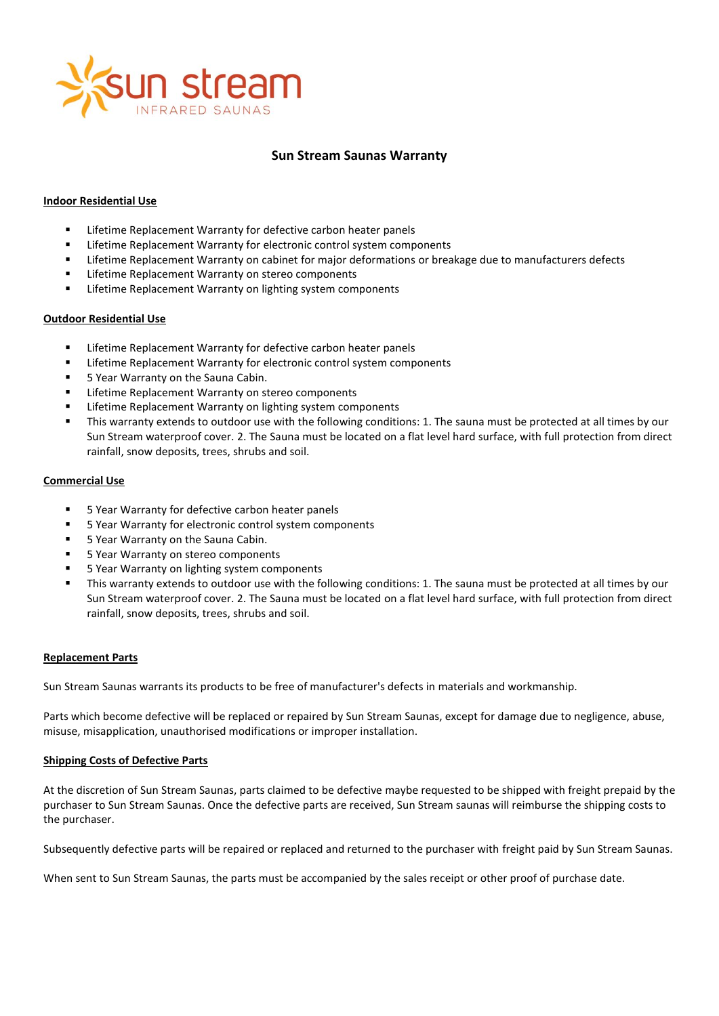

# **Sun Stream Saunas Warranty**

# **Indoor Residential Use**

- **EXECTE Lifetime Replacement Warranty for defective carbon heater panels**
- Lifetime Replacement Warranty for electronic control system components
- Lifetime Replacement Warranty on cabinet for major deformations or breakage due to manufacturers defects
- Lifetime Replacement Warranty on stereo components
- Lifetime Replacement Warranty on lighting system components

#### **Outdoor Residential Use**

- Lifetime Replacement Warranty for defective carbon heater panels
- **EXECTE:** Lifetime Replacement Warranty for electronic control system components
- **5 Year Warranty on the Sauna Cabin.**
- Lifetime Replacement Warranty on stereo components
- Lifetime Replacement Warranty on lighting system components
- This warranty extends to outdoor use with the following conditions: 1. The sauna must be protected at all times by our Sun Stream waterproof cover. 2. The Sauna must be located on a flat level hard surface, with full protection from direct rainfall, snow deposits, trees, shrubs and soil.

# **Commercial Use**

- 5 Year Warranty for defective carbon heater panels
- 5 Year Warranty for electronic control system components
- 5 Year Warranty on the Sauna Cabin.
- 5 Year Warranty on stereo components
- 5 Year Warranty on lighting system components
- This warranty extends to outdoor use with the following conditions: 1. The sauna must be protected at all times by our Sun Stream waterproof cover. 2. The Sauna must be located on a flat level hard surface, with full protection from direct rainfall, snow deposits, trees, shrubs and soil.

# **Replacement Parts**

Sun Stream Saunas warrants its products to be free of manufacturer's defects in materials and workmanship.

Parts which become defective will be replaced or repaired by Sun Stream Saunas, except for damage due to negligence, abuse, misuse, misapplication, unauthorised modifications or improper installation.

# **Shipping Costs of Defective Parts**

At the discretion of Sun Stream Saunas, parts claimed to be defective maybe requested to be shipped with freight prepaid by the purchaser to Sun Stream Saunas. Once the defective parts are received, Sun Stream saunas will reimburse the shipping costs to the purchaser.

Subsequently defective parts will be repaired or replaced and returned to the purchaser with freight paid by Sun Stream Saunas.

When sent to Sun Stream Saunas, the parts must be accompanied by the sales receipt or other proof of purchase date.